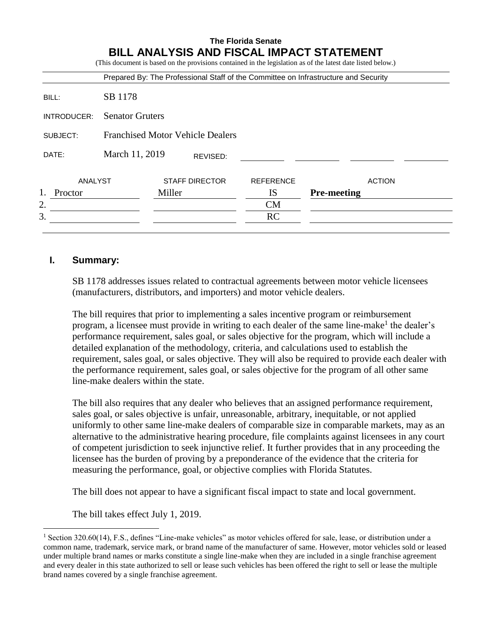|             |                                         |        |                       |                  | Prepared By: The Professional Staff of the Committee on Infrastructure and Security |
|-------------|-----------------------------------------|--------|-----------------------|------------------|-------------------------------------------------------------------------------------|
| BILL:       | SB 1178                                 |        |                       |                  |                                                                                     |
| INTRODUCER: | <b>Senator Gruters</b>                  |        |                       |                  |                                                                                     |
| SUBJECT:    | <b>Franchised Motor Vehicle Dealers</b> |        |                       |                  |                                                                                     |
| DATE:       | March 11, 2019<br>REVISED:              |        |                       |                  |                                                                                     |
| ANALYST     |                                         |        | <b>STAFF DIRECTOR</b> | <b>REFERENCE</b> | <b>ACTION</b>                                                                       |
| Proctor     |                                         | Miller |                       | IS               | <b>Pre-meeting</b>                                                                  |
| 2.          |                                         |        |                       | CM               |                                                                                     |
| 3.          |                                         |        |                       | <b>RC</b>        |                                                                                     |

## **I. Summary:**

 $\overline{a}$ 

SB 1178 addresses issues related to contractual agreements between motor vehicle licensees (manufacturers, distributors, and importers) and motor vehicle dealers.

The bill requires that prior to implementing a sales incentive program or reimbursement program, a licensee must provide in writing to each dealer of the same line-make<sup>1</sup> the dealer's performance requirement, sales goal, or sales objective for the program, which will include a detailed explanation of the methodology, criteria, and calculations used to establish the requirement, sales goal, or sales objective. They will also be required to provide each dealer with the performance requirement, sales goal, or sales objective for the program of all other same line-make dealers within the state.

The bill also requires that any dealer who believes that an assigned performance requirement, sales goal, or sales objective is unfair, unreasonable, arbitrary, inequitable, or not applied uniformly to other same line-make dealers of comparable size in comparable markets, may as an alternative to the administrative hearing procedure, file complaints against licensees in any court of competent jurisdiction to seek injunctive relief. It further provides that in any proceeding the licensee has the burden of proving by a preponderance of the evidence that the criteria for measuring the performance, goal, or objective complies with Florida Statutes.

The bill does not appear to have a significant fiscal impact to state and local government.

The bill takes effect July 1, 2019.

<sup>&</sup>lt;sup>1</sup> Section 320.60(14), F.S., defines "Line-make vehicles" as motor vehicles offered for sale, lease, or distribution under a common name, trademark, service mark, or brand name of the manufacturer of same. However, motor vehicles sold or leased under multiple brand names or marks constitute a single line-make when they are included in a single franchise agreement and every dealer in this state authorized to sell or lease such vehicles has been offered the right to sell or lease the multiple brand names covered by a single franchise agreement.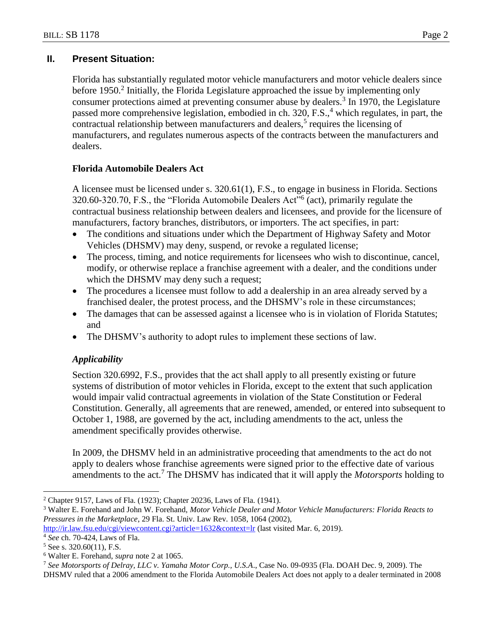# **II. Present Situation:**

Florida has substantially regulated motor vehicle manufacturers and motor vehicle dealers since before 1950.<sup>2</sup> Initially, the Florida Legislature approached the issue by implementing only consumer protections aimed at preventing consumer abuse by dealers. $3$  In 1970, the Legislature passed more comprehensive legislation, embodied in ch. 320, F.S.,<sup>4</sup> which regulates, in part, the contractual relationship between manufacturers and dealers,<sup>5</sup> requires the licensing of manufacturers, and regulates numerous aspects of the contracts between the manufacturers and dealers.

## **Florida Automobile Dealers Act**

A licensee must be licensed under s. 320.61(1), F.S., to engage in business in Florida. Sections 320.60-320.70, F.S., the "Florida Automobile Dealers Act"<sup>6</sup> (act), primarily regulate the contractual business relationship between dealers and licensees, and provide for the licensure of manufacturers, factory branches, distributors, or importers. The act specifies, in part:

- The conditions and situations under which the Department of Highway Safety and Motor Vehicles (DHSMV) may deny, suspend, or revoke a regulated license;
- The process, timing, and notice requirements for licensees who wish to discontinue, cancel, modify, or otherwise replace a franchise agreement with a dealer, and the conditions under which the DHSMV may deny such a request;
- The procedures a licensee must follow to add a dealership in an area already served by a franchised dealer, the protest process, and the DHSMV's role in these circumstances;
- The damages that can be assessed against a licensee who is in violation of Florida Statutes; and
- The DHSMV's authority to adopt rules to implement these sections of law.

## *Applicability*

Section 320.6992, F.S., provides that the act shall apply to all presently existing or future systems of distribution of motor vehicles in Florida, except to the extent that such application would impair valid contractual agreements in violation of the State Constitution or Federal Constitution. Generally, all agreements that are renewed, amended, or entered into subsequent to October 1, 1988, are governed by the act, including amendments to the act, unless the amendment specifically provides otherwise.

In 2009, the DHSMV held in an administrative proceeding that amendments to the act do not apply to dealers whose franchise agreements were signed prior to the effective date of various amendments to the act.<sup>7</sup> The DHSMV has indicated that it will apply the *Motorsports* holding to

<sup>3</sup> Walter E. Forehand and John W. Forehand, *Motor Vehicle Dealer and Motor Vehicle Manufacturers: Florida Reacts to Pressures in the Marketplace*, 29 Fla. St. Univ. Law Rev. 1058, 1064 (2002),

<http://ir.law.fsu.edu/cgi/viewcontent.cgi?article=1632&context=lr> (last visited Mar. 6, 2019).

<sup>4</sup> *See* ch. 70-424, Laws of Fla.

 $\overline{a}$ <sup>2</sup> Chapter 9157, Laws of Fla. (1923); Chapter 20236, Laws of Fla. (1941).

 $5$  See s. 320.60(11), F.S.

<sup>6</sup> Walter E. Forehand, *supra* note 2 at 1065.

<sup>7</sup> *See Motorsports of Delray, LLC v. Yamaha Motor Corp., U.S.A*., Case No. 09-0935 (Fla. DOAH Dec. 9, 2009). The DHSMV ruled that a 2006 amendment to the Florida Automobile Dealers Act does not apply to a dealer terminated in 2008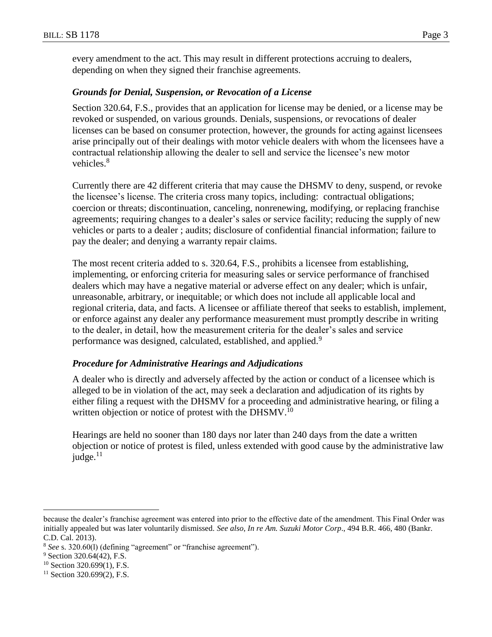every amendment to the act. This may result in different protections accruing to dealers, depending on when they signed their franchise agreements.

### *Grounds for Denial, Suspension, or Revocation of a License*

Section 320.64, F.S., provides that an application for license may be denied, or a license may be revoked or suspended, on various grounds. Denials, suspensions, or revocations of dealer licenses can be based on consumer protection, however, the grounds for acting against licensees arise principally out of their dealings with motor vehicle dealers with whom the licensees have a contractual relationship allowing the dealer to sell and service the licensee's new motor vehicles.<sup>8</sup>

Currently there are 42 different criteria that may cause the DHSMV to deny, suspend, or revoke the licensee's license. The criteria cross many topics, including: contractual obligations; coercion or threats; discontinuation, canceling, nonrenewing, modifying, or replacing franchise agreements; requiring changes to a dealer's sales or service facility; reducing the supply of new vehicles or parts to a dealer ; audits; disclosure of confidential financial information; failure to pay the dealer; and denying a warranty repair claims.

The most recent criteria added to s. 320.64, F.S., prohibits a licensee from establishing, implementing, or enforcing criteria for measuring sales or service performance of franchised dealers which may have a negative material or adverse effect on any dealer; which is unfair, unreasonable, arbitrary, or inequitable; or which does not include all applicable local and regional criteria, data, and facts. A licensee or affiliate thereof that seeks to establish, implement, or enforce against any dealer any performance measurement must promptly describe in writing to the dealer, in detail, how the measurement criteria for the dealer's sales and service performance was designed, calculated, established, and applied.<sup>9</sup>

### *Procedure for Administrative Hearings and Adjudications*

A dealer who is directly and adversely affected by the action or conduct of a licensee which is alleged to be in violation of the act, may seek a declaration and adjudication of its rights by either filing a request with the DHSMV for a proceeding and administrative hearing, or filing a written objection or notice of protest with the DHSMV.<sup>10</sup>

Hearings are held no sooner than 180 days nor later than 240 days from the date a written objection or notice of protest is filed, unless extended with good cause by the administrative law judge. $^{11}$ 

 $\overline{a}$ 

because the dealer's franchise agreement was entered into prior to the effective date of the amendment. This Final Order was initially appealed but was later voluntarily dismissed. *See also*, *In re Am. Suzuki Motor Corp*., 494 B.R. 466, 480 (Bankr. C.D. Cal. 2013).

<sup>8</sup> *See* s. 320.60(l) (defining "agreement" or "franchise agreement").

<sup>&</sup>lt;sup>9</sup> Section 320.64(42), F.S.

<sup>10</sup> Section 320.699(1), F.S.

<sup>&</sup>lt;sup>11</sup> Section 320.699(2), F.S.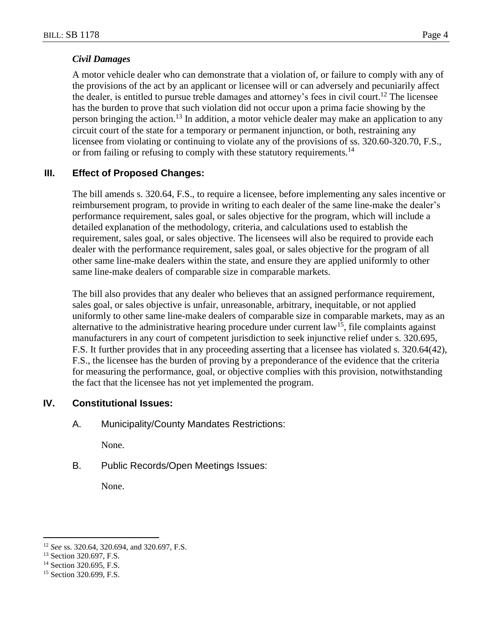## *Civil Damages*

A motor vehicle dealer who can demonstrate that a violation of, or failure to comply with any of the provisions of the act by an applicant or licensee will or can adversely and pecuniarily affect the dealer, is entitled to pursue treble damages and attorney's fees in civil court.<sup>12</sup> The licensee has the burden to prove that such violation did not occur upon a prima facie showing by the person bringing the action.<sup>13</sup> In addition, a motor vehicle dealer may make an application to any circuit court of the state for a temporary or permanent injunction, or both, restraining any licensee from violating or continuing to violate any of the provisions of ss. 320.60-320.70, F.S., or from failing or refusing to comply with these statutory requirements.<sup>14</sup>

## **III. Effect of Proposed Changes:**

The bill amends s. 320.64, F.S., to require a licensee, before implementing any sales incentive or reimbursement program, to provide in writing to each dealer of the same line-make the dealer's performance requirement, sales goal, or sales objective for the program, which will include a detailed explanation of the methodology, criteria, and calculations used to establish the requirement, sales goal, or sales objective. The licensees will also be required to provide each dealer with the performance requirement, sales goal, or sales objective for the program of all other same line-make dealers within the state, and ensure they are applied uniformly to other same line-make dealers of comparable size in comparable markets.

The bill also provides that any dealer who believes that an assigned performance requirement, sales goal, or sales objective is unfair, unreasonable, arbitrary, inequitable, or not applied uniformly to other same line-make dealers of comparable size in comparable markets, may as an alternative to the administrative hearing procedure under current  $law^{15}$ , file complaints against manufacturers in any court of competent jurisdiction to seek injunctive relief under s. 320.695, F.S. It further provides that in any proceeding asserting that a licensee has violated s. 320.64(42), F.S., the licensee has the burden of proving by a preponderance of the evidence that the criteria for measuring the performance, goal, or objective complies with this provision, notwithstanding the fact that the licensee has not yet implemented the program.

# **IV. Constitutional Issues:**

A. Municipality/County Mandates Restrictions:

None.

B. Public Records/Open Meetings Issues:

None.

 $\overline{a}$ 

<sup>12</sup> *See* ss. 320.64, 320.694, and 320.697, F.S.

<sup>&</sup>lt;sup>13</sup> Section 320.697, F.S.

<sup>&</sup>lt;sup>14</sup> Section 320.695, F.S.

<sup>&</sup>lt;sup>15</sup> Section 320.699, F.S.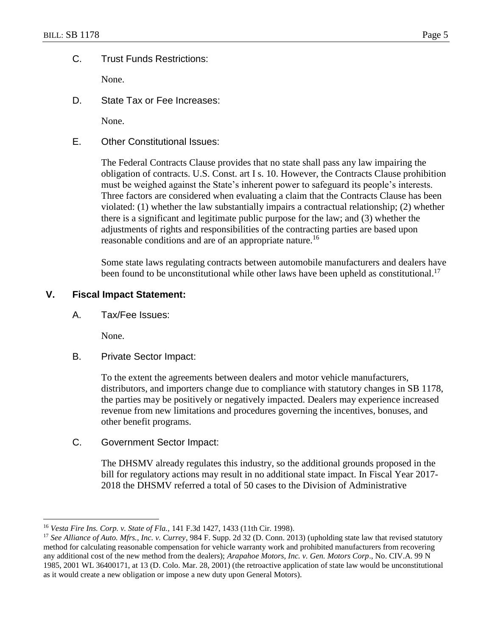## C. Trust Funds Restrictions:

None.

D. State Tax or Fee Increases:

None.

E. Other Constitutional Issues:

The Federal Contracts Clause provides that no state shall pass any law impairing the obligation of contracts. U.S. Const. art I s. 10. However, the Contracts Clause prohibition must be weighed against the State's inherent power to safeguard its people's interests. Three factors are considered when evaluating a claim that the Contracts Clause has been violated: (1) whether the law substantially impairs a contractual relationship; (2) whether there is a significant and legitimate public purpose for the law; and (3) whether the adjustments of rights and responsibilities of the contracting parties are based upon reasonable conditions and are of an appropriate nature.<sup>16</sup>

Some state laws regulating contracts between automobile manufacturers and dealers have been found to be unconstitutional while other laws have been upheld as constitutional.<sup>17</sup>

### **V. Fiscal Impact Statement:**

A. Tax/Fee Issues:

None.

 $\overline{a}$ 

B. Private Sector Impact:

To the extent the agreements between dealers and motor vehicle manufacturers, distributors, and importers change due to compliance with statutory changes in SB 1178, the parties may be positively or negatively impacted. Dealers may experience increased revenue from new limitations and procedures governing the incentives, bonuses, and other benefit programs.

C. Government Sector Impact:

The DHSMV already regulates this industry, so the additional grounds proposed in the bill for regulatory actions may result in no additional state impact. In Fiscal Year 2017- 2018 the DHSMV referred a total of 50 cases to the Division of Administrative

<sup>16</sup> *Vesta Fire Ins. Corp. v. State of Fla.,* 141 F.3d 1427, 1433 (11th Cir. 1998).

<sup>17</sup> *See Alliance of Auto. Mfrs., Inc. v. Currey*, 984 F. Supp. 2d 32 (D. Conn. 2013) (upholding state law that revised statutory method for calculating reasonable compensation for vehicle warranty work and prohibited manufacturers from recovering any additional cost of the new method from the dealers); *Arapahoe Motors, Inc. v. Gen. Motors Corp*., No. CIV.A. 99 N 1985, 2001 WL 36400171, at 13 (D. Colo. Mar. 28, 2001) (the retroactive application of state law would be unconstitutional as it would create a new obligation or impose a new duty upon General Motors).